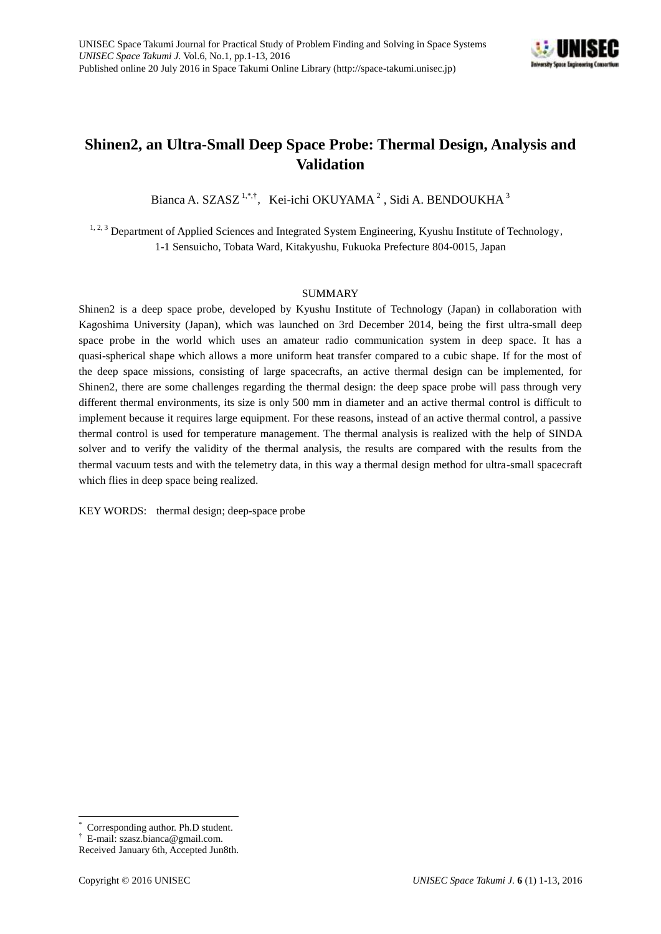

# **Shinen2, an Ultra-Small Deep Space Probe: Thermal Design, Analysis and Validation**

Bianca A. SZASZ<sup>1,\*,†</sup>, Kei-ichi OKUYAMA<sup>2</sup>, Sidi A. BENDOUKHA<sup>3</sup>

<sup>1, 2, 3</sup> Department of Applied Sciences and Integrated System Engineering, Kyushu Institute of Technology, 1-1 Sensuicho, Tobata Ward, Kitakyushu, Fukuoka Prefecture 804-0015, Japan

## SUMMARY

Shinen2 is a deep space probe, developed by Kyushu Institute of Technology (Japan) in collaboration with Kagoshima University (Japan), which was launched on 3rd December 2014, being the first ultra-small deep space probe in the world which uses an amateur radio communication system in deep space. It has a quasi-spherical shape which allows a more uniform heat transfer compared to a cubic shape. If for the most of the deep space missions, consisting of large spacecrafts, an active thermal design can be implemented, for Shinen2, there are some challenges regarding the thermal design: the deep space probe will pass through very different thermal environments, its size is only 500 mm in diameter and an active thermal control is difficult to implement because it requires large equipment. For these reasons, instead of an active thermal control, a passive thermal control is used for temperature management. The thermal analysis is realized with the help of SINDA solver and to verify the validity of the thermal analysis, the results are compared with the results from the thermal vacuum tests and with the telemetry data, in this way a thermal design method for ultra-small spacecraft which flies in deep space being realized.

KEY WORDS: thermal design; deep-space probe

 $\overline{a}$ Corresponding author. Ph.D student.

<sup>†</sup> E-mail: szasz.bianca@gmail.com.

Received [January 6](http://dictionary.goo.ne.jp/je/3438/meaning/m0u/1%E6%9C%88/)th, Accepted Jun8th.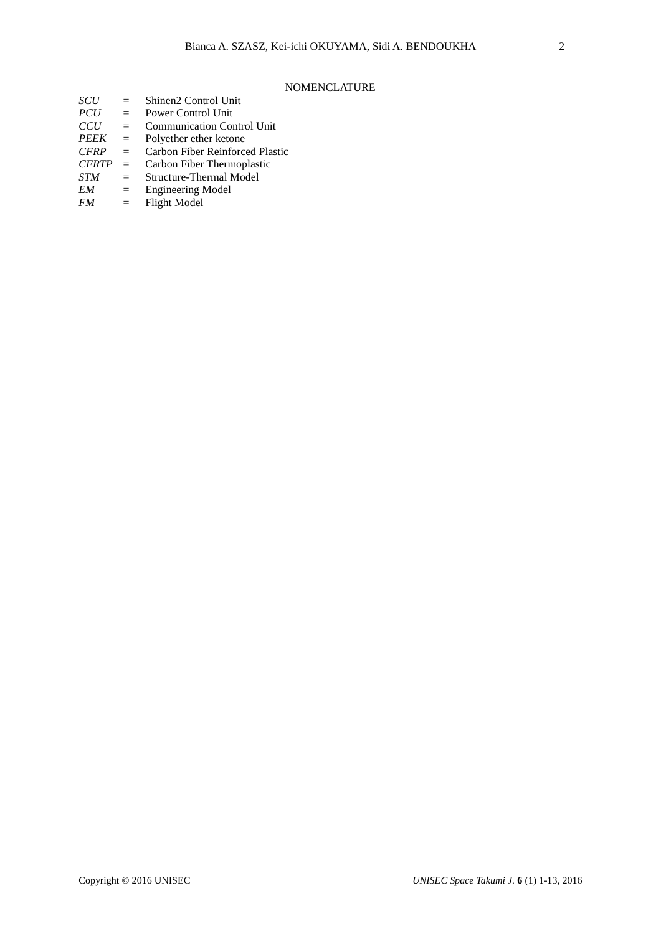## NOMENCLATURE

| <b>SCU</b>   | $=$ | Shinen2 Control Unit              |
|--------------|-----|-----------------------------------|
| <b>PCU</b>   | $=$ | <b>Power Control Unit</b>         |
| CCU          | $=$ | <b>Communication Control Unit</b> |
| <b>PEEK</b>  | $=$ | Polyether ether ketone            |
| <b>CFRP</b>  | $=$ | Carbon Fiber Reinforced Plastic   |
| <b>CFRTP</b> | $=$ | Carbon Fiber Thermoplastic        |
| <b>STM</b>   | $=$ | Structure-Thermal Model           |
| EM           | $=$ | <b>Engineering Model</b>          |
|              |     |                                   |

*FM* = Flight Model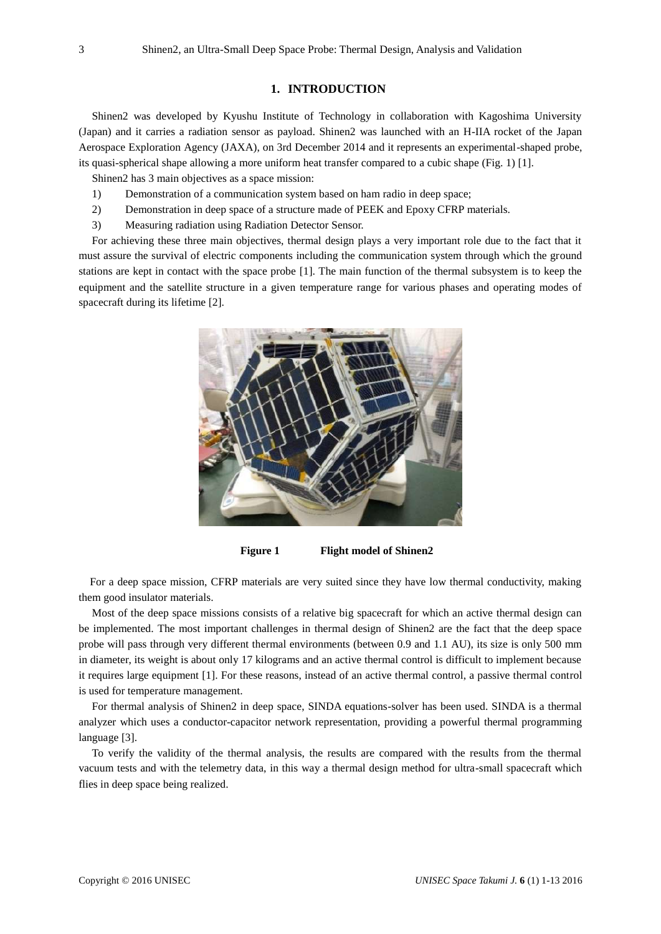## **1. INTRODUCTION**

Shinen2 was developed by Kyushu Institute of Technology in collaboration with Kagoshima University (Japan) and it carries a radiation sensor as payload. Shinen2 was launched with an H-IIA rocket of the Japan Aerospace Exploration Agency (JAXA), on 3rd December 2014 and it represents an experimental-shaped probe, its quasi-spherical shape allowing a more uniform heat transfer compared to a cubic shape (Fig. 1) [1].

Shinen2 has 3 main objectives as a space mission:

- 1) Demonstration of a communication system based on ham radio in deep space;
- 2) Demonstration in deep space of a structure made of PEEK and Epoxy CFRP materials.
- 3) Measuring radiation using Radiation Detector Sensor.

For achieving these three main objectives, thermal design plays a very important role due to the fact that it must assure the survival of electric components including the communication system through which the ground stations are kept in contact with the space probe [1]. The main function of the thermal subsystem is to keep the equipment and the satellite structure in a given temperature range for various phases and operating modes of spacecraft during its lifetime [2].



**Figure 1 Flight model of Shinen2**

 For a deep space mission, CFRP materials are very suited since they have low thermal conductivity, making them good insulator materials.

Most of the deep space missions consists of a relative big spacecraft for which an active thermal design can be implemented. The most important challenges in thermal design of Shinen2 are the fact that the deep space probe will pass through very different thermal environments (between 0.9 and 1.1 AU), its size is only 500 mm in diameter, its weight is about only 17 kilograms and an active thermal control is difficult to implement because it requires large equipment [1]. For these reasons, instead of an active thermal control, a passive thermal control is used for temperature management.

For thermal analysis of Shinen2 in deep space, SINDA equations-solver has been used. SINDA is a thermal analyzer which uses a conductor-capacitor network representation, providing a powerful thermal programming language [3].

To verify the validity of the thermal analysis, the results are compared with the results from the thermal vacuum tests and with the telemetry data, in this way a thermal design method for ultra-small spacecraft which flies in deep space being realized.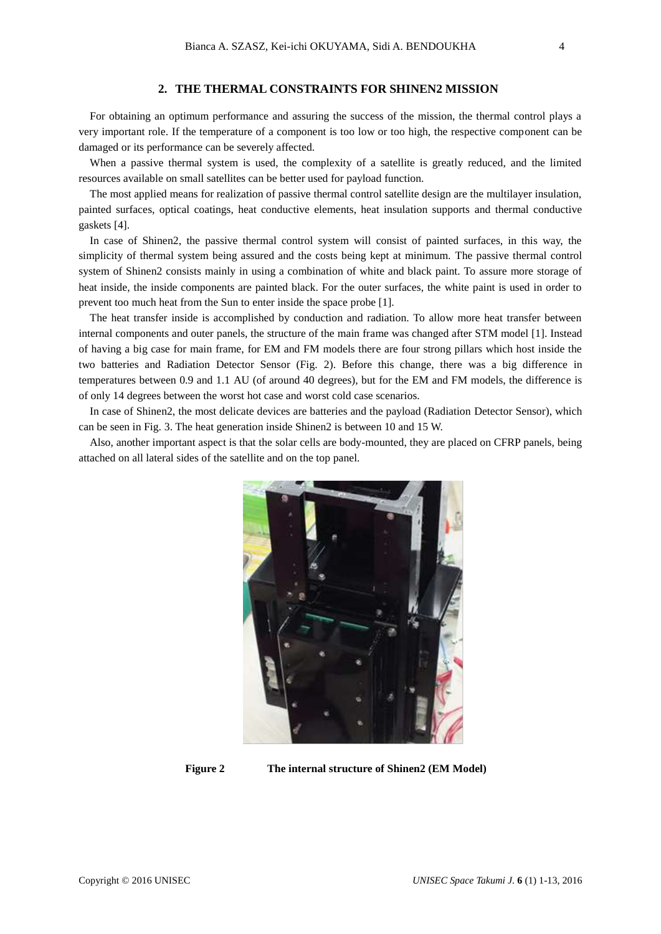## **2. THE THERMAL CONSTRAINTS FOR SHINEN2 MISSION**

For obtaining an optimum performance and assuring the success of the mission, the thermal control plays a very important role. If the temperature of a component is too low or too high, the respective component can be damaged or its performance can be severely affected.

When a passive thermal system is used, the complexity of a satellite is greatly reduced, and the limited resources available on small satellites can be better used for payload function.

The most applied means for realization of passive thermal control satellite design are the multilayer insulation, painted surfaces, optical coatings, heat conductive elements, heat insulation supports and thermal conductive gaskets [4].

In case of Shinen2, the passive thermal control system will consist of painted surfaces, in this way, the simplicity of thermal system being assured and the costs being kept at minimum. The passive thermal control system of Shinen2 consists mainly in using a combination of white and black paint. To assure more storage of heat inside, the inside components are painted black. For the outer surfaces, the white paint is used in order to prevent too much heat from the Sun to enter inside the space probe [1].

The heat transfer inside is accomplished by conduction and radiation. To allow more heat transfer between internal components and outer panels, the structure of the main frame was changed after STM model [1]. Instead of having a big case for main frame, for EM and FM models there are four strong pillars which host inside the two batteries and Radiation Detector Sensor (Fig. 2). Before this change, there was a big difference in temperatures between 0.9 and 1.1 AU (of around 40 degrees), but for the EM and FM models, the difference is of only 14 degrees between the worst hot case and worst cold case scenarios.

In case of Shinen2, the most delicate devices are batteries and the payload (Radiation Detector Sensor), which can be seen in Fig. 3. The heat generation inside Shinen2 is between 10 and 15 W.

Also, another important aspect is that the solar cells are body-mounted, they are placed on CFRP panels, being attached on all lateral sides of the satellite and on the top panel.



**Figure 2 The internal structure of Shinen2 (EM Model)**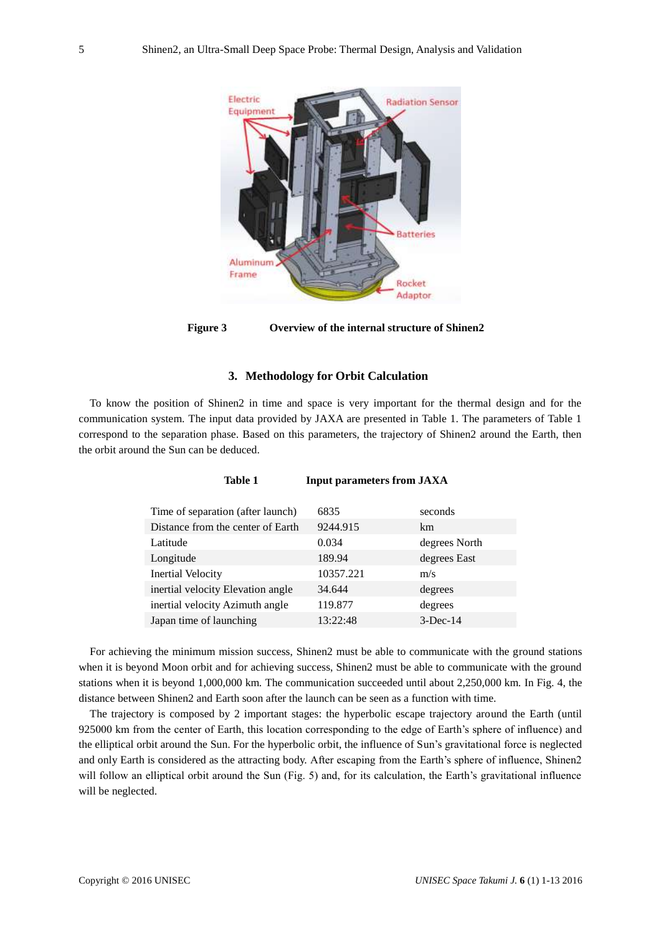

**Figure 3 Overview of the internal structure of Shinen2**

## **3. Methodology for Orbit Calculation**

To know the position of Shinen2 in time and space is very important for the thermal design and for the communication system. The input data provided by JAXA are presented in Table 1. The parameters of Table 1 correspond to the separation phase. Based on this parameters, the trajectory of Shinen2 around the Earth, then the orbit around the Sun can be deduced.

**Table 1 Input parameters from JAXA**

| Time of separation (after launch) | 6835      | seconds       |
|-----------------------------------|-----------|---------------|
| Distance from the center of Earth | 9244.915  | km            |
| Latitude                          | 0.034     | degrees North |
| Longitude                         | 189.94    | degrees East  |
| <b>Inertial Velocity</b>          | 10357.221 | m/s           |
| inertial velocity Elevation angle | 34.644    | degrees       |
| inertial velocity Azimuth angle   | 119.877   | degrees       |
| Japan time of launching           | 13:22:48  | $3$ -Dec-14   |

For achieving the minimum mission success, Shinen2 must be able to communicate with the ground stations when it is beyond Moon orbit and for achieving success, Shinen2 must be able to communicate with the ground stations when it is beyond 1,000,000 km. The communication succeeded until about 2,250,000 km. In Fig. 4, the distance between Shinen2 and Earth soon after the launch can be seen as a function with time.

The trajectory is composed by 2 important stages: the hyperbolic escape trajectory around the Earth (until 925000 km from the center of Earth, this location corresponding to the edge of Earth's sphere of influence) and the elliptical orbit around the Sun. For the hyperbolic orbit, the influence of Sun's gravitational force is neglected and only Earth is considered as the attracting body. After escaping from the Earth's sphere of influence, Shinen2 will follow an elliptical orbit around the Sun (Fig. 5) and, for its calculation, the Earth's gravitational influence will be neglected.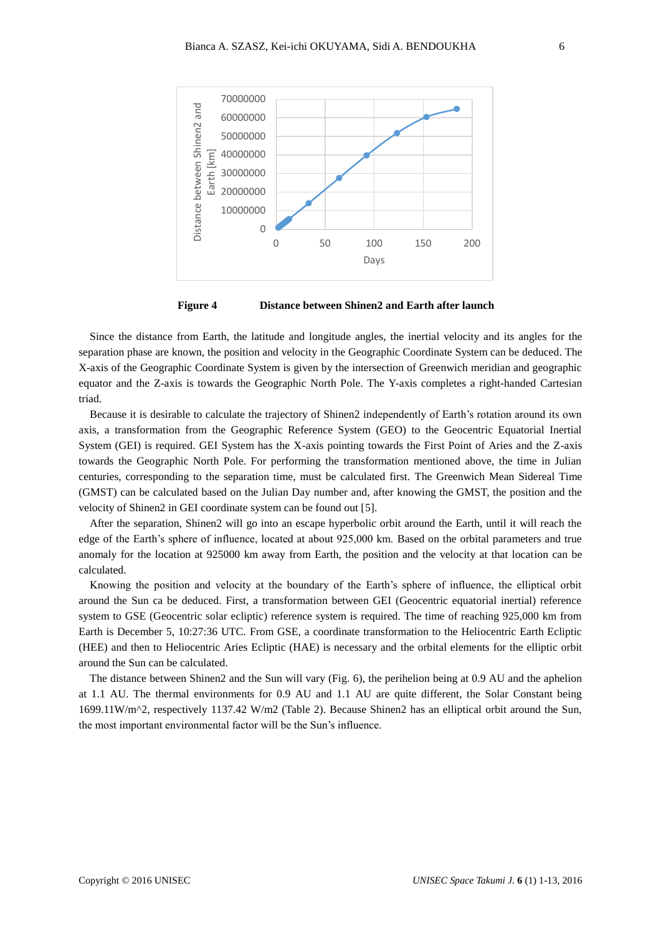

**Figure 4 Distance between Shinen2 and Earth after launch**

Since the distance from Earth, the latitude and longitude angles, the inertial velocity and its angles for the separation phase are known, the position and velocity in the Geographic Coordinate System can be deduced. The X-axis of the Geographic Coordinate System is given by the intersection of Greenwich meridian and geographic equator and the Z-axis is towards the Geographic North Pole. The Y-axis completes a right-handed Cartesian triad.

Because it is desirable to calculate the trajectory of Shinen2 independently of Earth's rotation around its own axis, a transformation from the Geographic Reference System (GEO) to the Geocentric Equatorial Inertial System (GEI) is required. GEI System has the X-axis pointing towards the First Point of Aries and the Z-axis towards the Geographic North Pole. For performing the transformation mentioned above, the time in Julian centuries, corresponding to the separation time, must be calculated first. The Greenwich Mean Sidereal Time (GMST) can be calculated based on the Julian Day number and, after knowing the GMST, the position and the velocity of Shinen2 in GEI coordinate system can be found out [5].

After the separation, Shinen2 will go into an escape hyperbolic orbit around the Earth, until it will reach the edge of the Earth's sphere of influence, located at about 925,000 km. Based on the orbital parameters and true anomaly for the location at 925000 km away from Earth, the position and the velocity at that location can be calculated.

Knowing the position and velocity at the boundary of the Earth's sphere of influence, the elliptical orbit around the Sun ca be deduced. First, a transformation between GEI (Geocentric equatorial inertial) reference system to GSE (Geocentric solar ecliptic) reference system is required. The time of reaching 925,000 km from Earth is December 5, 10:27:36 UTC. From GSE, a coordinate transformation to the Heliocentric Earth Ecliptic (HEE) and then to Heliocentric Aries Ecliptic (HAE) is necessary and the orbital elements for the elliptic orbit around the Sun can be calculated.

The distance between Shinen2 and the Sun will vary (Fig. 6), the perihelion being at 0.9 AU and the aphelion at 1.1 AU. The thermal environments for 0.9 AU and 1.1 AU are quite different, the Solar Constant being 1699.11W/m^2, respectively 1137.42 W/m2 (Table 2). Because Shinen2 has an elliptical orbit around the Sun, the most important environmental factor will be the Sun's influence.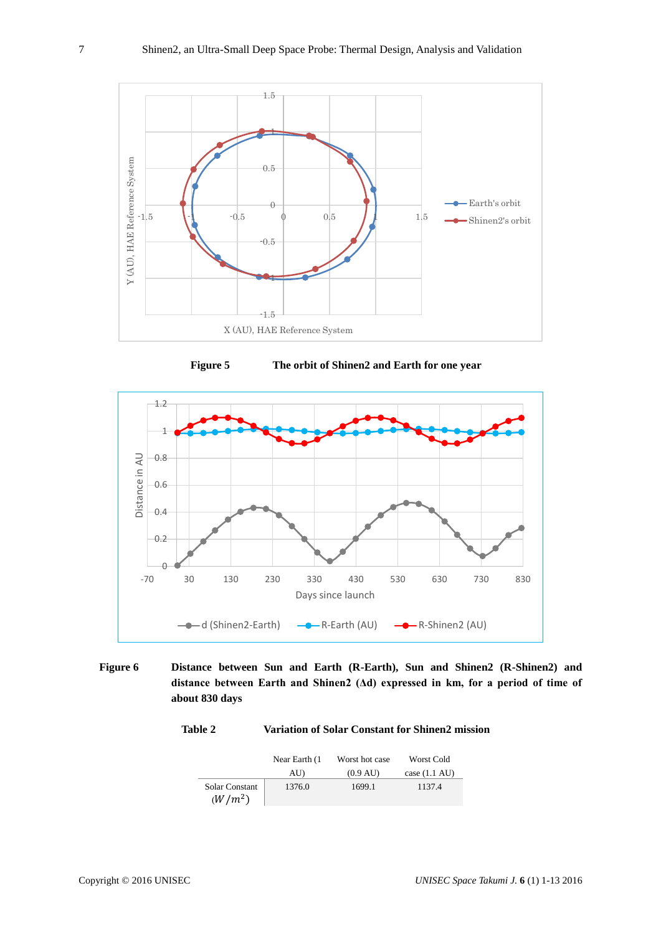

**Figure 5 The orbit of Shinen2 and Earth for one year**



**Figure 6 Distance between Sun and Earth (R-Earth), Sun and Shinen2 (R-Shinen2) and distance between Earth and Shinen2 (Δd) expressed in km, for a period of time of about 830 days**

## **Table 2 Variation of Solar Constant for Shinen2 mission**

|                                    | Near Earth (1) | Worst hot case     | Worst Cold              |
|------------------------------------|----------------|--------------------|-------------------------|
|                                    | AU)            | $(0.9 \text{ AU})$ | case $(1.1 \text{ AU})$ |
| <b>Solar Constant</b><br>$(W/m^2)$ | 1376.0         | 1699.1             | 1137.4                  |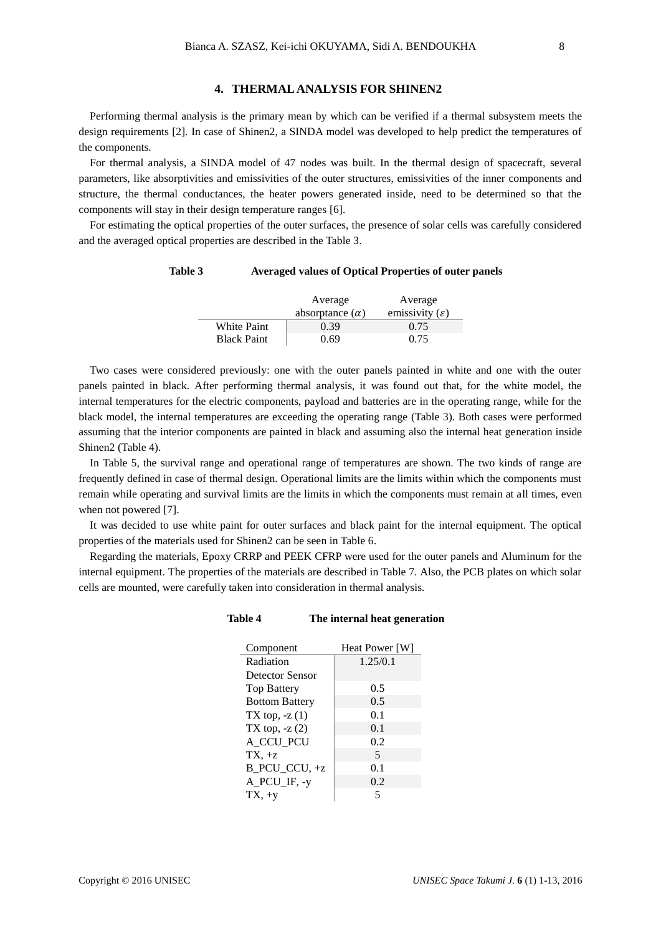## **4. THERMAL ANALYSIS FOR SHINEN2**

Performing thermal analysis is the primary mean by which can be verified if a thermal subsystem meets the design requirements [2]. In case of Shinen2, a SINDA model was developed to help predict the temperatures of the components.

For thermal analysis, a SINDA model of 47 nodes was built. In the thermal design of spacecraft, several parameters, like absorptivities and emissivities of the outer structures, emissivities of the inner components and structure, the thermal conductances, the heater powers generated inside, need to be determined so that the components will stay in their design temperature ranges [6].

For estimating the optical properties of the outer surfaces, the presence of solar cells was carefully considered and the averaged optical properties are described in the Table 3.

## **Table 3 Averaged values of Optical Properties of outer panels**

|                    | Average                | Average                    |
|--------------------|------------------------|----------------------------|
|                    | absorptance $(\alpha)$ | emissivity $(\varepsilon)$ |
| White Paint        | 0.39                   | 0.75                       |
| <b>Black Paint</b> | 0.69                   | 0.75                       |

Two cases were considered previously: one with the outer panels painted in white and one with the outer panels painted in black. After performing thermal analysis, it was found out that, for the white model, the internal temperatures for the electric components, payload and batteries are in the operating range, while for the black model, the internal temperatures are exceeding the operating range (Table 3). Both cases were performed assuming that the interior components are painted in black and assuming also the internal heat generation inside Shinen2 (Table 4).

In Table 5, the survival range and operational range of temperatures are shown. The two kinds of range are frequently defined in case of thermal design. Operational limits are the limits within which the components must remain while operating and survival limits are the limits in which the components must remain at all times, even when not powered [7].

It was decided to use white paint for outer surfaces and black paint for the internal equipment. The optical properties of the materials used for Shinen2 can be seen in Table 6.

Regarding the materials, Epoxy CRRP and PEEK CFRP were used for the outer panels and Aluminum for the internal equipment. The properties of the materials are described in Table 7. Also, the PCB plates on which solar cells are mounted, were carefully taken into consideration in thermal analysis.

#### **Table 4 The internal heat generation**

| Component             | Heat Power [W]           |
|-----------------------|--------------------------|
| Radiation             | 1.25/0.1                 |
| Detector Sensor       |                          |
| <b>Top Battery</b>    | 0.5                      |
| <b>Bottom Battery</b> | 0.5                      |
| TX top, $-z(1)$       | 0.1                      |
| TX top, $-z(2)$       | 0.1                      |
| A CCU_PCU             | 0.2                      |
| $TX, +z$              | $\overline{\phantom{1}}$ |
| B PCU CCU, $+z$       | 0.1                      |
| A_PCU_IF, -y          | 0.2                      |
| $TX, +y$              |                          |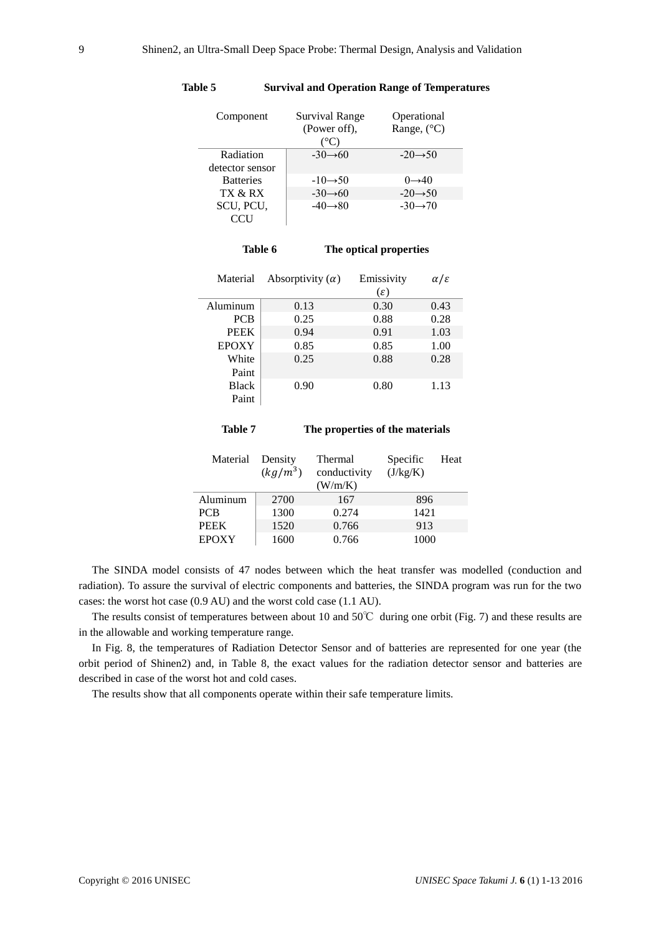| Component        | Survival Range<br>(Power off),<br>°C) | Operational<br>Range, $(^{\circ}C)$ |
|------------------|---------------------------------------|-------------------------------------|
| Radiation        | $-30 \rightarrow 60$                  | $-20 \rightarrow 50$                |
| detector sensor  |                                       |                                     |
| <b>Batteries</b> | $-10 \rightarrow 50$                  | $0\rightarrow 40$                   |
| TX & RX          | $-30 \rightarrow 60$                  | $-20 \rightarrow 50$                |
| SCU, PCU,        | $-40 \rightarrow 80$                  | $-30 \rightarrow 70$                |
|                  |                                       |                                     |

### **Table 5 Survival and Operation Range of Temperatures**

| Table 6 | The optical properties |
|---------|------------------------|
|         |                        |

| Material     | Absorptivity $(\alpha)$ | Emissivity      | $\alpha/\varepsilon$ |
|--------------|-------------------------|-----------------|----------------------|
|              |                         | $(\varepsilon)$ |                      |
| Aluminum     | 0.13                    | 0.30            | 0.43                 |
| <b>PCB</b>   | 0.25                    | 0.88            | 0.28                 |
| <b>PEEK</b>  | 0.94                    | 0.91            | 1.03                 |
| <b>EPOXY</b> | 0.85                    | 0.85            | 1.00                 |
| White        | 0.25                    | 0.88            | 0.28                 |
| Paint        |                         |                 |                      |
| <b>Black</b> | 0.90                    | 0.80            | 1.13                 |
| Paint        |                         |                 |                      |

### **Table 7 The properties of the materials**

| Material     | Density<br>$(kg/m^3)$ | Thermal<br>conductivity<br>(W/m/K) | Specific<br>(J/kg/K) | Heat |
|--------------|-----------------------|------------------------------------|----------------------|------|
| Aluminum     | 2700                  | 167                                | 896                  |      |
| <b>PCB</b>   | 1300                  | 0.274                              | 1421                 |      |
| <b>PEEK</b>  | 1520                  | 0.766                              | 913                  |      |
| <b>EPOXY</b> | 1600                  | 0.766                              | 1000                 |      |

The SINDA model consists of 47 nodes between which the heat transfer was modelled (conduction and radiation). To assure the survival of electric components and batteries, the SINDA program was run for the two cases: the worst hot case (0.9 AU) and the worst cold case (1.1 AU).

The results consist of temperatures between about 10 and 50℃ during one orbit (Fig. 7) and these results are in the allowable and working temperature range.

In Fig. 8, the temperatures of Radiation Detector Sensor and of batteries are represented for one year (the orbit period of Shinen2) and, in Table 8, the exact values for the radiation detector sensor and batteries are described in case of the worst hot and cold cases.

The results show that all components operate within their safe temperature limits.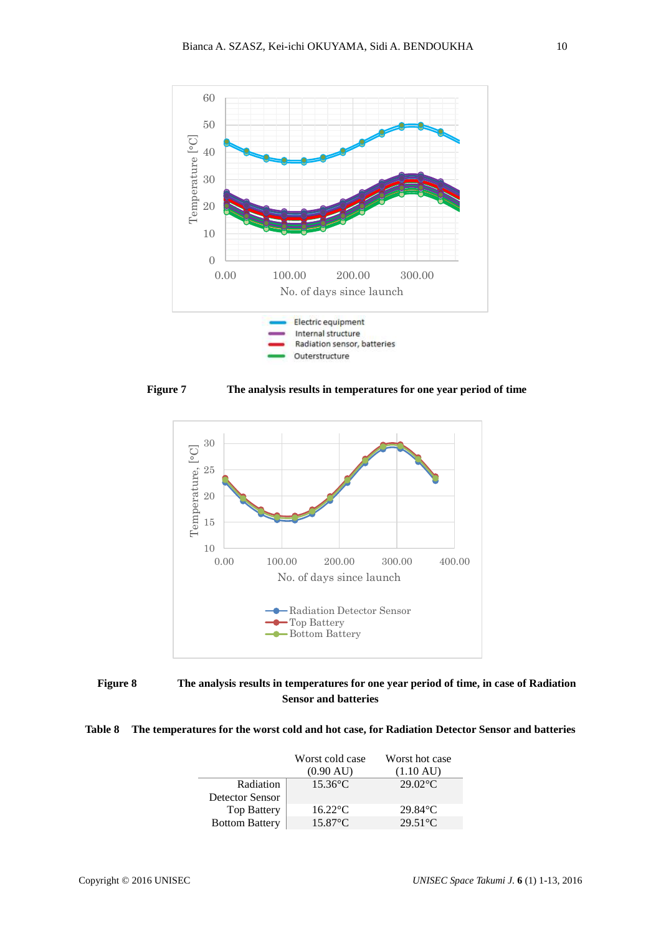







## **Table 8 The temperatures for the worst cold and hot case, for Radiation Detector Sensor and batteries**

|                        | Worst cold case     | Worst hot case      |
|------------------------|---------------------|---------------------|
|                        | $(0.90 \text{ AU})$ | $(1.10 \text{ AU})$ |
| Radiation              | $15.36$ °C          | $29.02^{\circ}$ C   |
| <b>Detector Sensor</b> |                     |                     |
| <b>Top Battery</b>     | $16.22$ °C          | $29.84$ °C          |
| <b>Bottom Battery</b>  | $15.87$ °C.         | $29.51^{\circ}$ C   |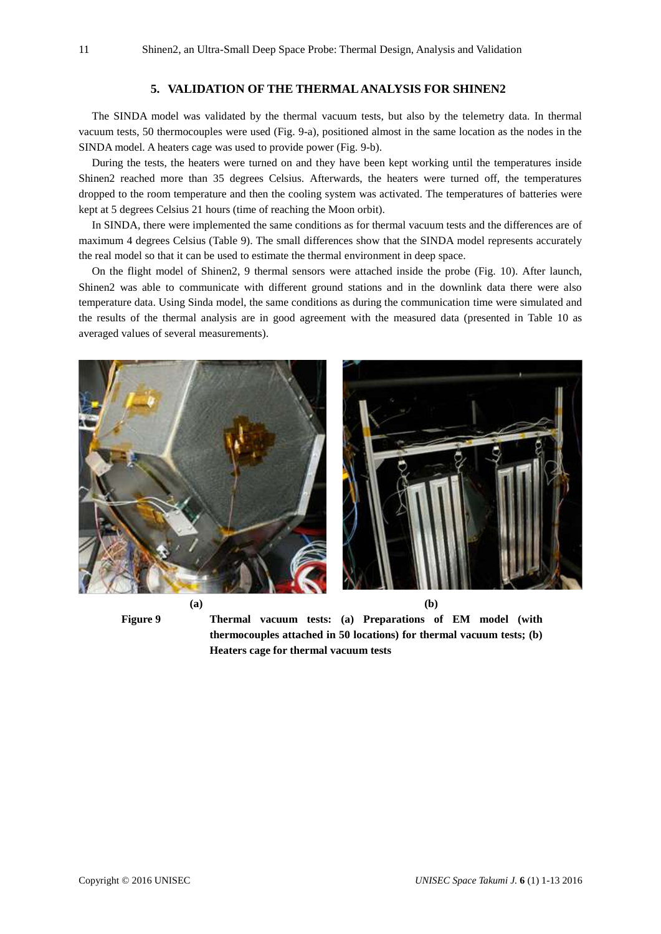## **5. VALIDATION OF THE THERMAL ANALYSIS FOR SHINEN2**

The SINDA model was validated by the thermal vacuum tests, but also by the telemetry data. In thermal vacuum tests, 50 thermocouples were used (Fig. 9-a), positioned almost in the same location as the nodes in the SINDA model. A heaters cage was used to provide power (Fig. 9-b).

During the tests, the heaters were turned on and they have been kept working until the temperatures inside Shinen2 reached more than 35 degrees Celsius. Afterwards, the heaters were turned off, the temperatures dropped to the room temperature and then the cooling system was activated. The temperatures of batteries were kept at 5 degrees Celsius 21 hours (time of reaching the Moon orbit).

In SINDA, there were implemented the same conditions as for thermal vacuum tests and the differences are of maximum 4 degrees Celsius (Table 9). The small differences show that the SINDA model represents accurately the real model so that it can be used to estimate the thermal environment in deep space.

On the flight model of Shinen2, 9 thermal sensors were attached inside the probe (Fig. 10). After launch, Shinen2 was able to communicate with different ground stations and in the downlink data there were also temperature data. Using Sinda model, the same conditions as during the communication time were simulated and the results of the thermal analysis are in good agreement with the measured data (presented in Table 10 as averaged values of several measurements).



**Figure 9 Thermal vacuum tests: (a) Preparations of EM model (with thermocouples attached in 50 locations) for thermal vacuum tests; (b) Heaters cage for thermal vacuum tests**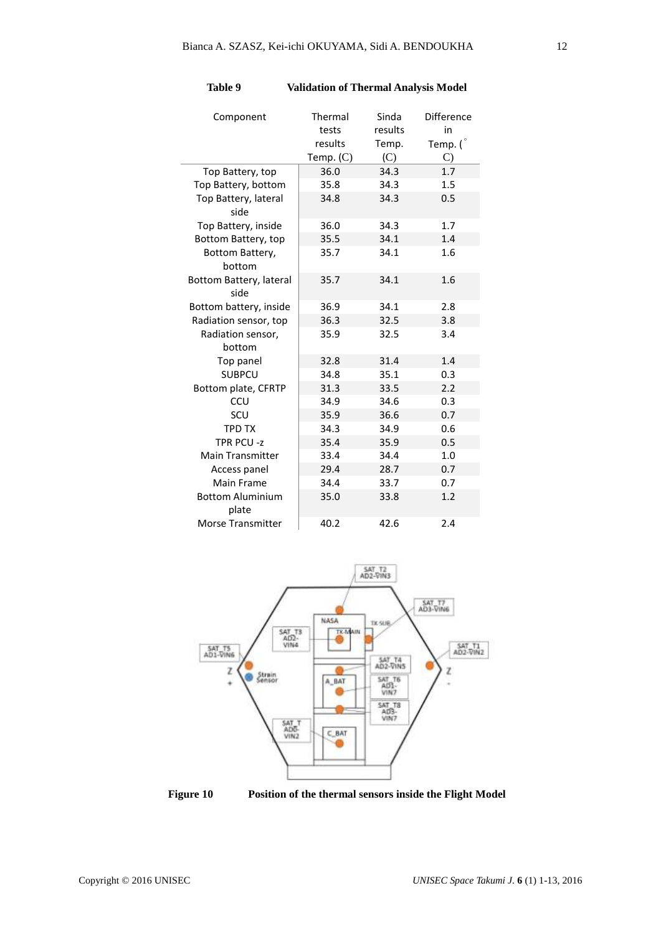| Component                        | Thermal<br>tests<br>results | Sinda<br>results<br>Temp. | Difference<br>in<br>Temp. ( |
|----------------------------------|-----------------------------|---------------------------|-----------------------------|
|                                  | Temp. $(C)$                 | (C)                       | $\mathcal{C}$               |
| Top Battery, top                 | 36.0                        | 34.3                      | 1.7                         |
| Top Battery, bottom              | 35.8                        | 34.3                      | 1.5                         |
| Top Battery, lateral<br>side     | 34.8                        | 34.3                      | 0.5                         |
| Top Battery, inside              | 36.0                        | 34.3                      | 1.7                         |
| Bottom Battery, top              | 35.5                        | 34.1                      | 1.4                         |
| Bottom Battery,<br>bottom        | 35.7                        | 34.1                      | 1.6                         |
| Bottom Battery, lateral<br>side  | 35.7                        | 34.1                      | 1.6                         |
| Bottom battery, inside           | 36.9                        | 34.1                      | 2.8                         |
| Radiation sensor, top            | 36.3                        | 32.5                      | 3.8                         |
| Radiation sensor,                | 35.9                        | 32.5                      | 3.4                         |
| bottom                           |                             |                           |                             |
| Top panel                        | 32.8                        | 31.4                      | 1.4                         |
| <b>SUBPCU</b>                    | 34.8                        | 35.1                      | 0.3                         |
| Bottom plate, CFRTP              | 31.3                        | 33.5                      | 2.2                         |
| CCU                              | 34.9                        | 34.6                      | 0.3                         |
| SCU                              | 35.9                        | 36.6                      | 0.7                         |
| <b>TPD TX</b>                    | 34.3                        | 34.9                      | 0.6                         |
| TPR PCU-z                        | 35.4                        | 35.9                      | 0.5                         |
| <b>Main Transmitter</b>          | 33.4                        | 34.4                      | 1.0                         |
| Access panel                     | 29.4                        | 28.7                      | 0.7                         |
| Main Frame                       | 34.4                        | 33.7                      | 0.7                         |
| <b>Bottom Aluminium</b><br>plate | 35.0                        | 33.8                      | 1.2                         |
| <b>Morse Transmitter</b>         | 40.2                        | 42.6                      | 2.4                         |

**Table 9 Validation of Thermal Analysis Model**



**Figure 10 Position of the thermal sensors inside the Flight Model**